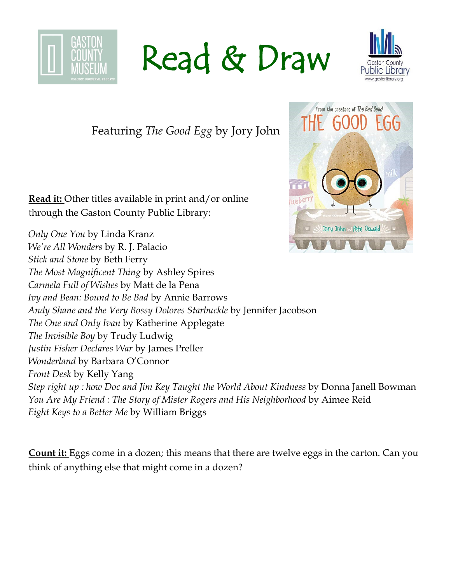

Read & Draw



Featuring *The Good Egg* by Jory John

**Read it:** Other titles available in print and/or online through the Gaston County Public Library:

*Only One You* by Linda Kranz *We're All Wonders* by R. J. Palacio *Stick and Stone* by Beth Ferry *The Most Magnificent Thing* by Ashley Spires *Carmela Full of Wishes* by Matt de la Pena *Ivy and Bean: Bound to Be Bad* by Annie Barrows *Andy Shane and the Very Bossy Dolores Starbuckle* by Jennifer Jacobson *The One and Only Ivan* by Katherine Applegate *The Invisible Boy* by Trudy Ludwig *Justin Fisher Declares War* by James Preller *Wonderland* by Barbara O'Connor *Front Desk* by Kelly Yang *Step right up : how Doc and Jim Key Taught the World About Kindness* by Donna Janell Bowman *[You Are My Friend : The Story of Mister Rogers](http://catalog.gastonlibrary.org/polaris/search/browse.aspx?ctx=1.1033.0.0.3&type=Browse&by=TI&term=You+are+my+friend+%3a+the+story+of+Mister+Rogers+and+his+neighborhood+%2f&page=0) and His Neighborhood* by Aimee Reid *Eight Keys to a Better Me* by William Briggs

**Count it:** Eggs come in a dozen; this means that there are twelve eggs in the carton. Can you think of anything else that might come in a dozen?

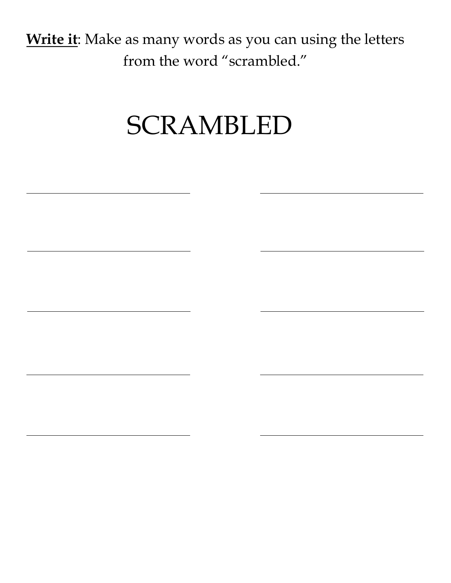**Write it**: Make as many words as you can using the letters from the word "scrambled."

## SCRAMBLED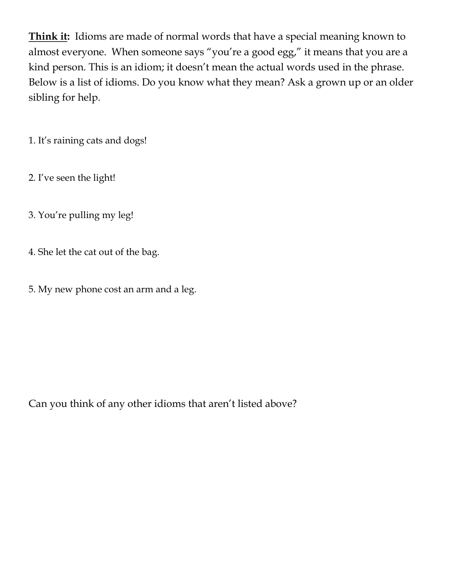**Think it:** Idioms are made of normal words that have a special meaning known to almost everyone. When someone says "you're a good egg," it means that you are a kind person. This is an idiom; it doesn't mean the actual words used in the phrase. Below is a list of idioms. Do you know what they mean? Ask a grown up or an older sibling for help.

1. It's raining cats and dogs!

2. I've seen the light!

3. You're pulling my leg!

4. She let the cat out of the bag.

5. My new phone cost an arm and a leg.

Can you think of any other idioms that aren't listed above?